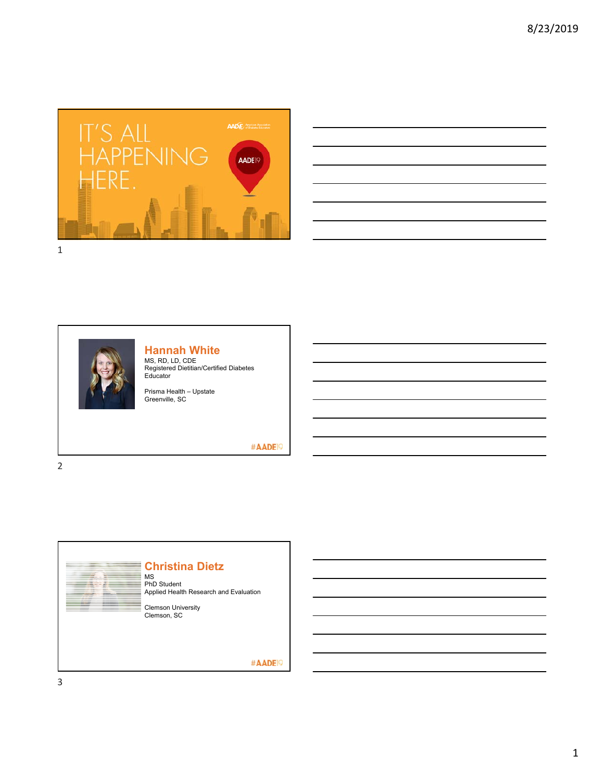

|  |  |                                                                                                                      |                                                                                                                  | <u> Alexandria de la contrada de la contrada de la contrada de la contrada de la contrada de la contrada de la c</u> |
|--|--|----------------------------------------------------------------------------------------------------------------------|------------------------------------------------------------------------------------------------------------------|----------------------------------------------------------------------------------------------------------------------|
|  |  |                                                                                                                      |                                                                                                                  |                                                                                                                      |
|  |  |                                                                                                                      |                                                                                                                  |                                                                                                                      |
|  |  | <u> Alexandro de la contrada de la contrada de la contrada de la contrada de la contrada de la contrada de la co</u> |                                                                                                                  |                                                                                                                      |
|  |  |                                                                                                                      | and the control of the control of the control of the control of the control of the control of the control of the |                                                                                                                      |
|  |  |                                                                                                                      |                                                                                                                  |                                                                                                                      |
|  |  |                                                                                                                      | <u> 1989 - Johann Stoff, amerikansk politiker (d. 1989)</u>                                                      |                                                                                                                      |
|  |  |                                                                                                                      |                                                                                                                  |                                                                                                                      |



### **Hannah White**

MS, RD, LD, CDE Registered Dietitian/Certified Diabetes Educator

Prisma Health – Upstate Greenville, SC

### #AADE<sup>19</sup>

2

3

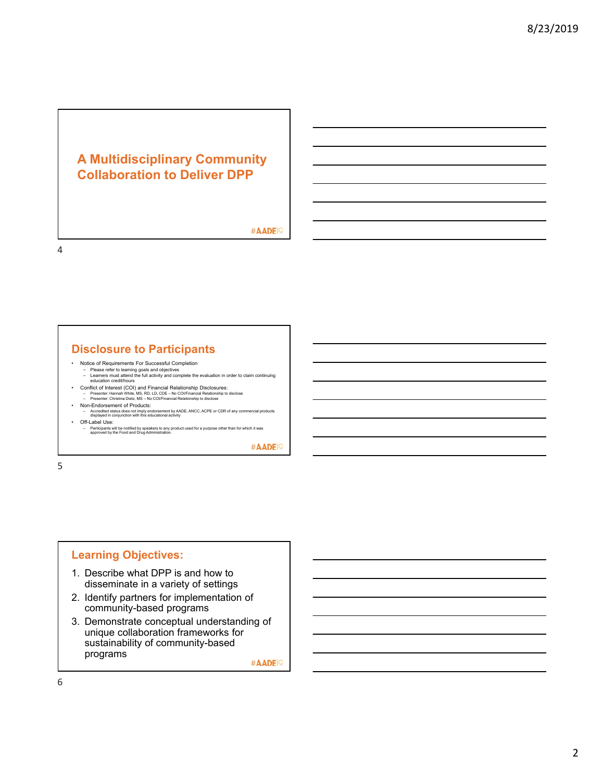# **A Multidisciplinary Community Collaboration to Deliver DPP**

#AADE<sup>19</sup>

4

## **Disclosure to Participants**

- 
- Notice of Requirements For Successful Completion Please refer to learning goals and objectives Learners must attend the full activity and complete the evaluation in order to claim continuing education credit/hours
- Conflict of Interest (COI) and Financial Relationship Disclosures:<br>- Presenter: Hannah White, MS, RD, LD, CDE No CO/Financial Relationship to disclose<br>- Presenter: Christina Dietz, MS No CO//Financial Relationship to
- 
- Non-Endorsement of Products: Accredited status does not imply endorsement by AADE, ANCC, ACPE or CDR of any commercial products displayed in conjunction with this educational activity • Off-Label Use:
- Participants will be notified by speakers to any product used for a purpose other than for which it was approved by the Food and Drug Administration.

#AADE<sup>19</sup>

5

### **Learning Objectives:**

- 1. Describe what DPP is and how to disseminate in a variety of settings
- 2. Identify partners for implementation of community-based programs
- 3. Demonstrate conceptual understanding of unique collaboration frameworks for sustainability of community-based programs

#AADE<sup>19</sup>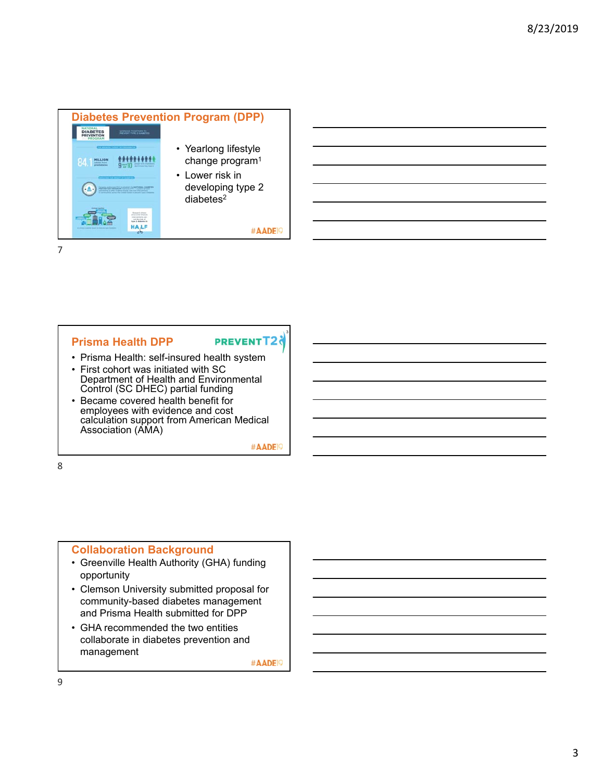

### **Prisma Health DPP**

## **PREVENTT2**

3

- Prisma Health: self-insured health system
- First cohort was initiated with SC Department of Health and Environmental Control (SC DHEC) partial funding • Became covered health benefit for
- employees with evidence and cost calculation support from American Medical Association (AMA)

#AADE<sup>19</sup>

8

#### **Collaboration Background**

- Greenville Health Authority (GHA) funding opportunity
- Clemson University submitted proposal for community-based diabetes management and Prisma Health submitted for DPP
- GHA recommended the two entities collaborate in diabetes prevention and management

#AADE<sup>19</sup>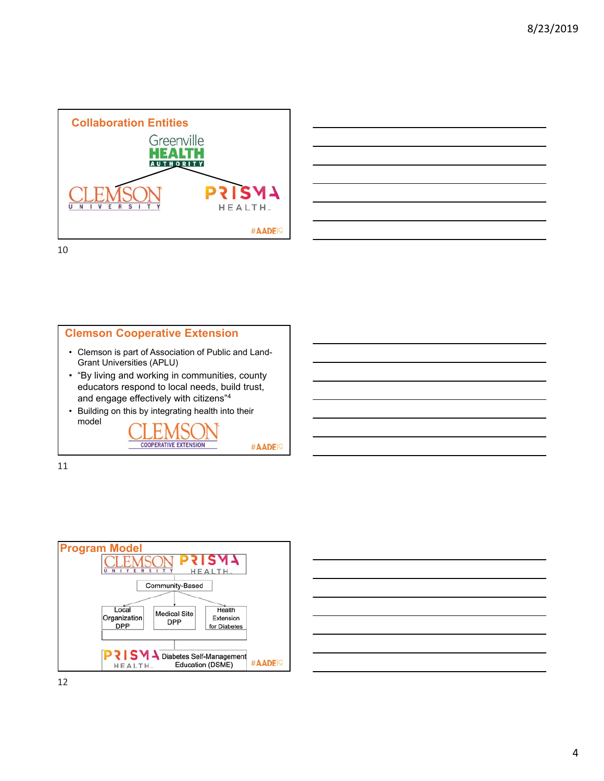



10





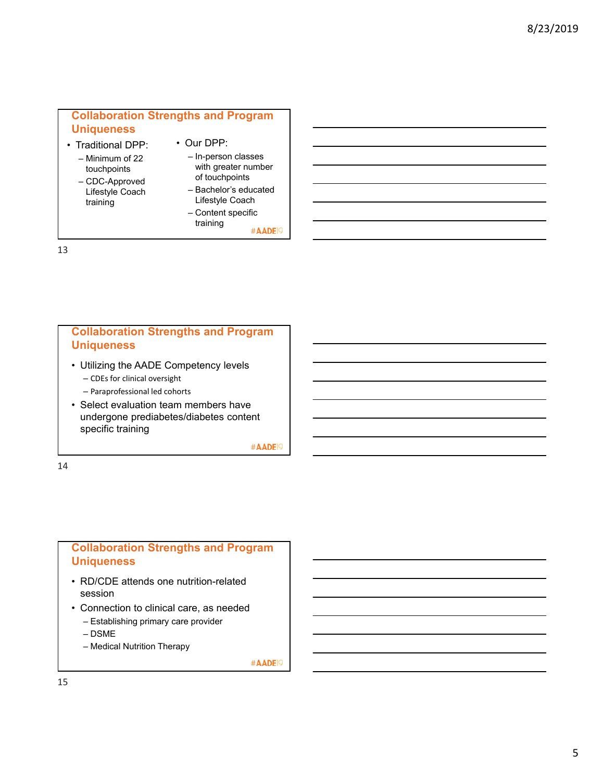## **Collaboration Strengths and Program Uniqueness**

- Traditional DPP:
	- Minimum of 22 touchpoints – CDC-Approved
	- Lifestyle Coach training
- In-person classes with greater number

• Our DPP:

- of touchpoints – Bachelor's educated
- Lifestyle Coach – Content specific

training

#AADE<sup>19</sup>

13

## **Collaboration Strengths and Program Uniqueness**

- Utilizing the AADE Competency levels
	- CDEs for clinical oversight
	- Paraprofessional led cohorts
- Select evaluation team members have undergone prediabetes/diabetes content specific training

#AADE<sup>19</sup>

14

## **Collaboration Strengths and Program Uniqueness**

- RD/CDE attends one nutrition-related session
- Connection to clinical care, as needed
	- Establishing primary care provider
	- DSME
	- Medical Nutrition Therapy

#AADE<sup>19</sup>